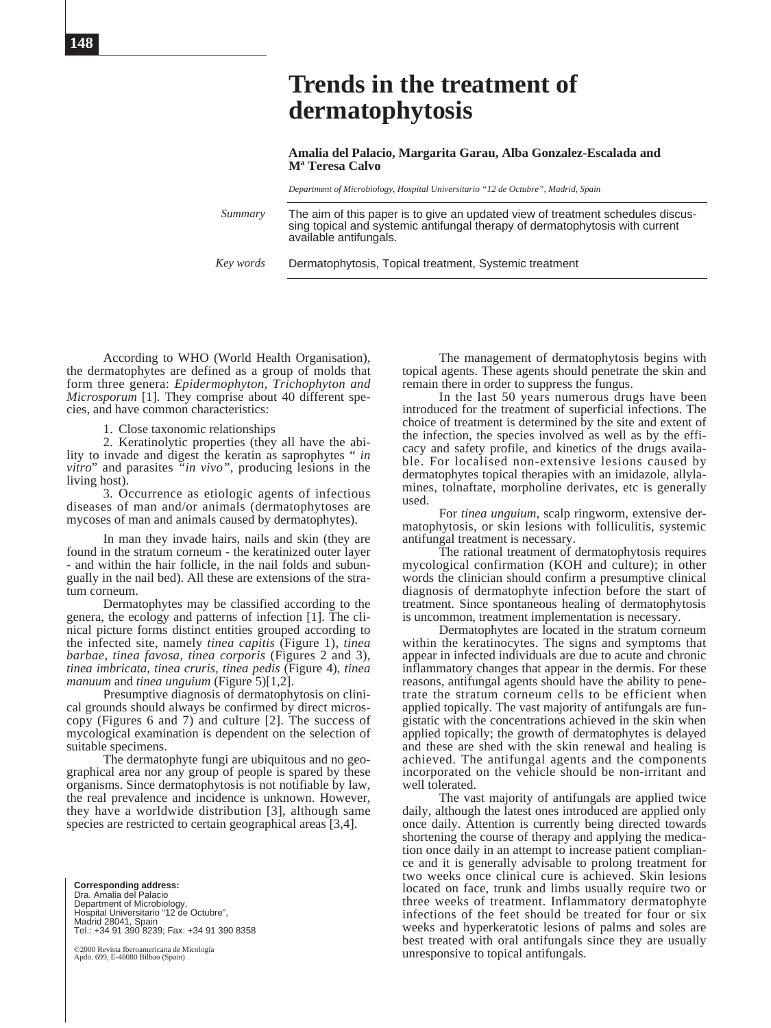**Amalia del Palacio, Margarita Garau, Alba Gonzalez-Escalada and Mª Teresa Calvo**

*Department of Microbiology, Hospital Universitario "12 de Octubre", Madrid, Spain*

*Summary*

The aim of this paper is to give an updated view of treatment schedules discussing topical and systemic antifungal therapy of dermatophytosis with current available antifungals.

Dermatophytosis, Topical treatment, Systemic treatment *Key words*

According to WHO (World Health Organisation), the dermatophytes are defined as a group of molds that form three genera: *Epidermophyton, Trichophyton and Microsporum* [1]. They comprise about 40 different species, and have common characteristics:

1. Close taxonomic relationships

2. Keratinolytic properties (they all have the ability to invade and digest the keratin as saprophytes " *in vitro*" and parasites *"in vivo"*, producing lesions in the living host).

3. Occurrence as etiologic agents of infectious diseases of man and/or animals (dermatophytoses are mycoses of man and animals caused by dermatophytes).

In man they invade hairs, nails and skin (they are found in the stratum corneum - the keratinized outer layer - and within the hair follicle, in the nail folds and subungually in the nail bed). All these are extensions of the stratum corneum.

Dermatophytes may be classified according to the genera, the ecology and patterns of infection [1]. The clinical picture forms distinct entities grouped according to the infected site, namely *tinea capitis* (Figure 1), *tinea barbae, tinea favosa, tinea corporis* (Figures 2 and 3), *tinea imbricata, tinea cruris, tinea pedis* (Figure 4), *tinea manuum* and *tinea unguium* (Figure 5)[1,2].

Presumptive diagnosis of dermatophytosis on clinical grounds should always be confirmed by direct microscopy (Figures 6 and 7) and culture [2]. The success of mycological examination is dependent on the selection of suitable specimens.

The dermatophyte fungi are ubiquitous and no geographical area nor any group of people is spared by these organisms. Since dermatophytosis is not notifiable by law, the real prevalence and incidence is unknown. However, they have a worldwide distribution [3], although same species are restricted to certain geographical areas [3,4].

**Corresponding address:** Dra. Amalia del Palacio Department of Microbiology, Hospital Universitario "12 de Octubre", Madrid 28041, Spain Tel.: +34 91 390 8239; Fax: +34 91 390 8358

©2000 Revista Iberoamericana de Micología Apdo. 699, E-48080 Bilbao (Spain)

The management of dermatophytosis begins with topical agents. These agents should penetrate the skin and remain there in order to suppress the fungus.

In the last 50 years numerous drugs have been introduced for the treatment of superficial infections. The choice of treatment is determined by the site and extent of the infection, the species involved as well as by the efficacy and safety profile, and kinetics of the drugs available. For localised non-extensive lesions caused by dermatophytes topical therapies with an imidazole, allylamines, tolnaftate, morpholine derivates, etc is generally used.

For *tinea unguium*, scalp ringworm, extensive dermatophytosis, or skin lesions with folliculitis, systemic antifungal treatment is necessary.

The rational treatment of dermatophytosis requires mycological confirmation (KOH and culture); in other words the clinician should confirm a presumptive clinical diagnosis of dermatophyte infection before the start of treatment. Since spontaneous healing of dermatophytosis is uncommon, treatment implementation is necessary.

Dermatophytes are located in the stratum corneum within the keratinocytes. The signs and symptoms that appear in infected individuals are due to acute and chronic inflammatory changes that appear in the dermis. For these reasons, antifungal agents should have the ability to penetrate the stratum corneum cells to be efficient when applied topically. The vast majority of antifungals are fungistatic with the concentrations achieved in the skin when applied topically; the growth of dermatophytes is delayed and these are shed with the skin renewal and healing is achieved. The antifungal agents and the components incorporated on the vehicle should be non-irritant and well tolerated.

The vast majority of antifungals are applied twice daily, although the latest ones introduced are applied only once daily. Attention is currently being directed towards shortening the course of therapy and applying the medication once daily in an attempt to increase patient compliance and it is generally advisable to prolong treatment for two weeks once clinical cure is achieved. Skin lesions located on face, trunk and limbs usually require two or three weeks of treatment. Inflammatory dermatophyte infections of the feet should be treated for four or six weeks and hyperkeratotic lesions of palms and soles are best treated with oral antifungals since they are usually unresponsive to topical antifungals.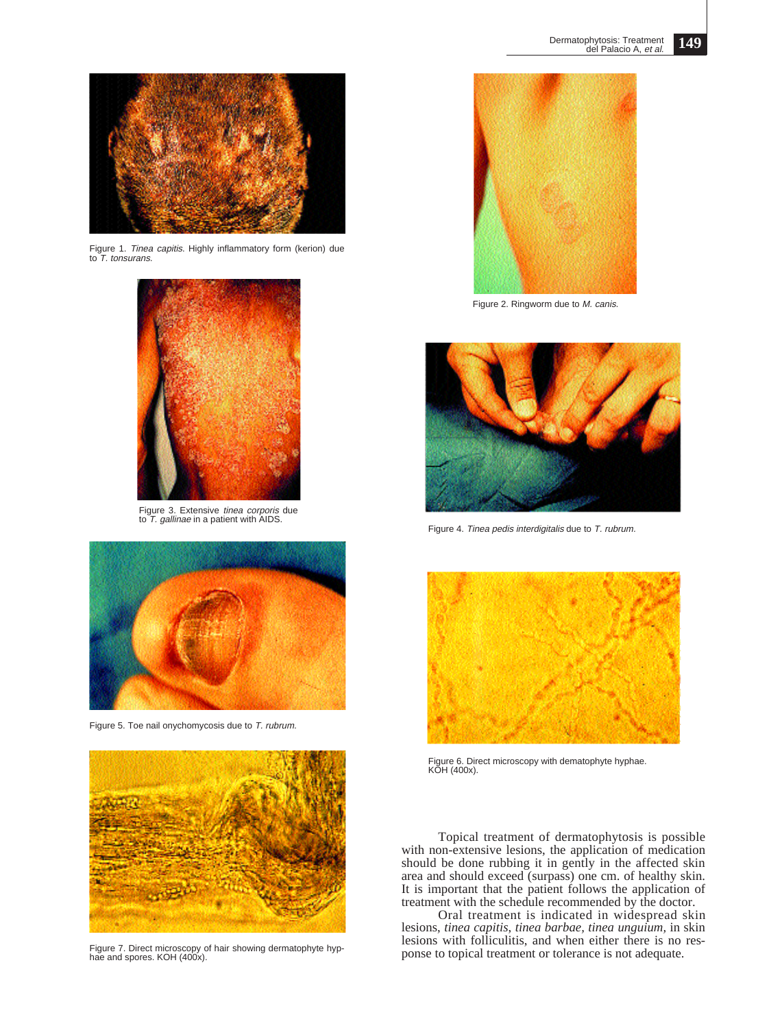

Figure 1. Tinea capitis. Highly inflammatory form (kerion) due<br>to T. tonsurans.



Figure 3. Extensive *tinea corporis* due<br>to T. *gallinae* in a patient with AIDS.



Figure 5. Toe nail onychomycosis due to T. rubrum.



Figure 7. Direct microscopy of hair showing dermatophyte hyp-hae and spores. KOH (400x).



Figure 2. Ringworm due to M. canis.



Figure 4. Tinea pedis interdigitalis due to T. rubrum.



Figure 6. Direct microscopy with dematophyte hyphae. KOH (400x).

Topical treatment of dermatophytosis is possible with non-extensive lesions, the application of medication should be done rubbing it in gently in the affected skin area and should exceed (surpass) one cm. of healthy skin. It is important that the patient follows the application of treatment with the schedule recommended by the doctor.

Oral treatment is indicated in widespread skin lesions, *tinea capitis*, *tinea barbae, tinea unguium,* in skin lesions with folliculitis, and when either there is no response to topical treatment or tolerance is not adequate.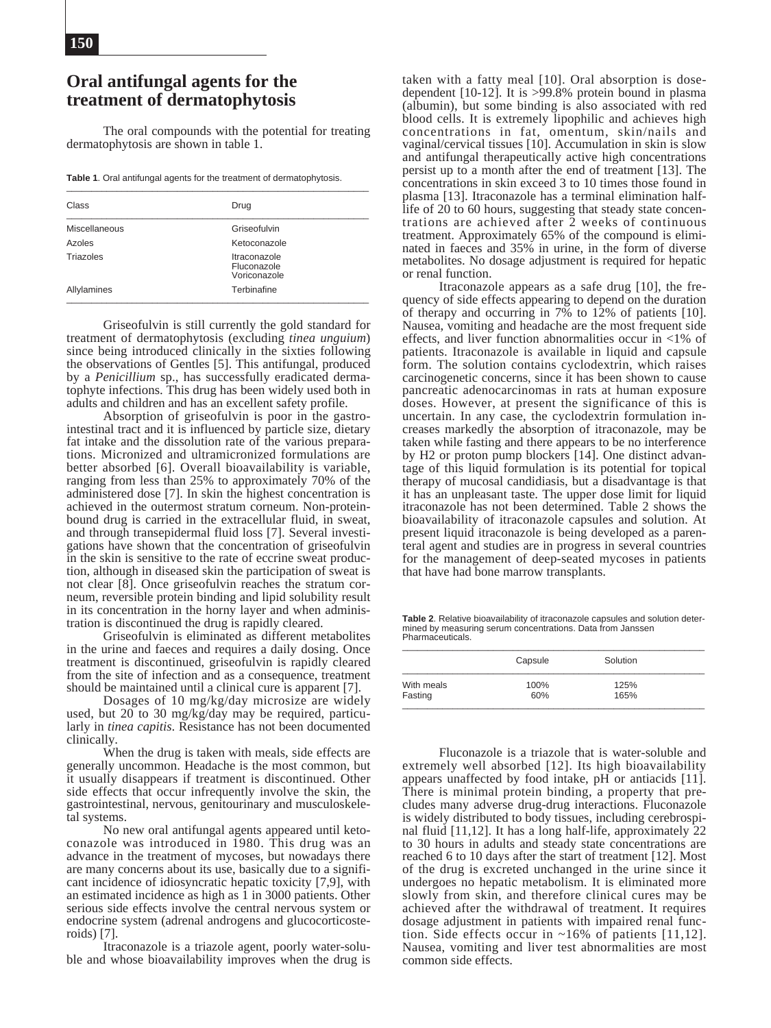# **Oral antifungal agents for the treatment of dermatophytosis**

The oral compounds with the potential for treating dermatophytosis are shown in table 1.

**Table 1**. Oral antifungal agents for the treatment of dermatophytosis.

| Class                | Drug                                        |  |  |
|----------------------|---------------------------------------------|--|--|
| <b>Miscellaneous</b> | Griseofulvin                                |  |  |
| Azoles               | Ketoconazole                                |  |  |
| Triazoles            | Itraconazole<br>Fluconazole<br>Voriconazole |  |  |
| Allylamines          | Terbinafine                                 |  |  |

Griseofulvin is still currently the gold standard for treatment of dermatophytosis (excluding *tinea unguium*) since being introduced clinically in the sixties following the observations of Gentles [5]. This antifungal, produced by a *Penicillium* sp., has successfully eradicated dermatophyte infections. This drug has been widely used both in adults and children and has an excellent safety profile.

Absorption of griseofulvin is poor in the gastrointestinal tract and it is influenced by particle size, dietary fat intake and the dissolution rate of the various preparations. Micronized and ultramicronized formulations are better absorbed [6]. Overall bioavailability is variable, ranging from less than 25% to approximately 70% of the administered dose [7]. In skin the highest concentration is achieved in the outermost stratum corneum. Non-proteinbound drug is carried in the extracellular fluid, in sweat, and through transepidermal fluid loss [7]. Several investigations have shown that the concentration of griseofulvin in the skin is sensitive to the rate of eccrine sweat production, although in diseased skin the participation of sweat is not clear [8]. Once griseofulvin reaches the stratum corneum, reversible protein binding and lipid solubility result in its concentration in the horny layer and when administration is discontinued the drug is rapidly cleared.

Griseofulvin is eliminated as different metabolites in the urine and faeces and requires a daily dosing. Once treatment is discontinued, griseofulvin is rapidly cleared from the site of infection and as a consequence, treatment should be maintained until a clinical cure is apparent [7].

Dosages of 10 mg/kg/day microsize are widely used, but 20 to 30 mg/kg/day may be required, particularly in *tinea capitis*. Resistance has not been documented clinically.

When the drug is taken with meals, side effects are generally uncommon. Headache is the most common, but it usually disappears if treatment is discontinued. Other side effects that occur infrequently involve the skin, the gastrointestinal, nervous, genitourinary and musculoskeletal systems.

No new oral antifungal agents appeared until ketoconazole was introduced in 1980. This drug was an advance in the treatment of mycoses, but nowadays there are many concerns about its use, basically due to a significant incidence of idiosyncratic hepatic toxicity [7,9], with an estimated incidence as high as 1 in 3000 patients. Other serious side effects involve the central nervous system or endocrine system (adrenal androgens and glucocorticosteroids) [7].

Itraconazole is a triazole agent, poorly water-soluble and whose bioavailability improves when the drug is

taken with a fatty meal [10]. Oral absorption is dosedependent [10-12]. It is >99.8% protein bound in plasma (albumin), but some binding is also associated with red blood cells. It is extremely lipophilic and achieves high concentrations in fat, omentum, skin/nails and vaginal/cervical tissues [10]. Accumulation in skin is slow and antifungal therapeutically active high concentrations persist up to a month after the end of treatment [13]. The concentrations in skin exceed 3 to 10 times those found in plasma [13]. Itraconazole has a terminal elimination halflife of 20 to 60 hours, suggesting that steady state concentrations are achieved after 2 weeks of continuous treatment. Approximately 65% of the compound is eliminated in faeces and 35% in urine, in the form of diverse metabolites. No dosage adjustment is required for hepatic or renal function.

Itraconazole appears as a safe drug [10], the frequency of side effects appearing to depend on the duration of therapy and occurring in  $7\%$  to 12% of patients [10]. Nausea, vomiting and headache are the most frequent side effects, and liver function abnormalities occur in <1% of patients. Itraconazole is available in liquid and capsule form. The solution contains cyclodextrin, which raises carcinogenetic concerns, since it has been shown to cause pancreatic adenocarcinomas in rats at human exposure doses. However, at present the significance of this is uncertain. In any case, the cyclodextrin formulation increases markedly the absorption of itraconazole, may be taken while fasting and there appears to be no interference by H2 or proton pump blockers [14]. One distinct advantage of this liquid formulation is its potential for topical therapy of mucosal candidiasis, but a disadvantage is that it has an unpleasant taste. The upper dose limit for liquid itraconazole has not been determined. Table 2 shows the bioavailability of itraconazole capsules and solution. At present liquid itraconazole is being developed as a parenteral agent and studies are in progress in several countries for the management of deep-seated mycoses in patients that have had bone marrow transplants.

**Table 2**. Relative bioavailability of itraconazole capsules and solution deter-mined by measuring serum concentrations. Data from Janssen Pharmaceuticals.

|            | Capsule | Solution |
|------------|---------|----------|
| With meals | 100%    | 125%     |
| Fasting    | 60%     | 165%     |

Fluconazole is a triazole that is water-soluble and extremely well absorbed [12]. Its high bioavailability appears unaffected by food intake, pH or antiacids [11]. There is minimal protein binding, a property that precludes many adverse drug-drug interactions. Fluconazole is widely distributed to body tissues, including cerebrospinal fluid [11,12]. It has a long half-life, approximately 22 to 30 hours in adults and steady state concentrations are reached 6 to 10 days after the start of treatment [12]. Most of the drug is excreted unchanged in the urine since it undergoes no hepatic metabolism. It is eliminated more slowly from skin, and therefore clinical cures may be achieved after the withdrawal of treatment. It requires dosage adjustment in patients with impaired renal function. Side effects occur in ~16% of patients [11,12]. Nausea, vomiting and liver test abnormalities are most common side effects.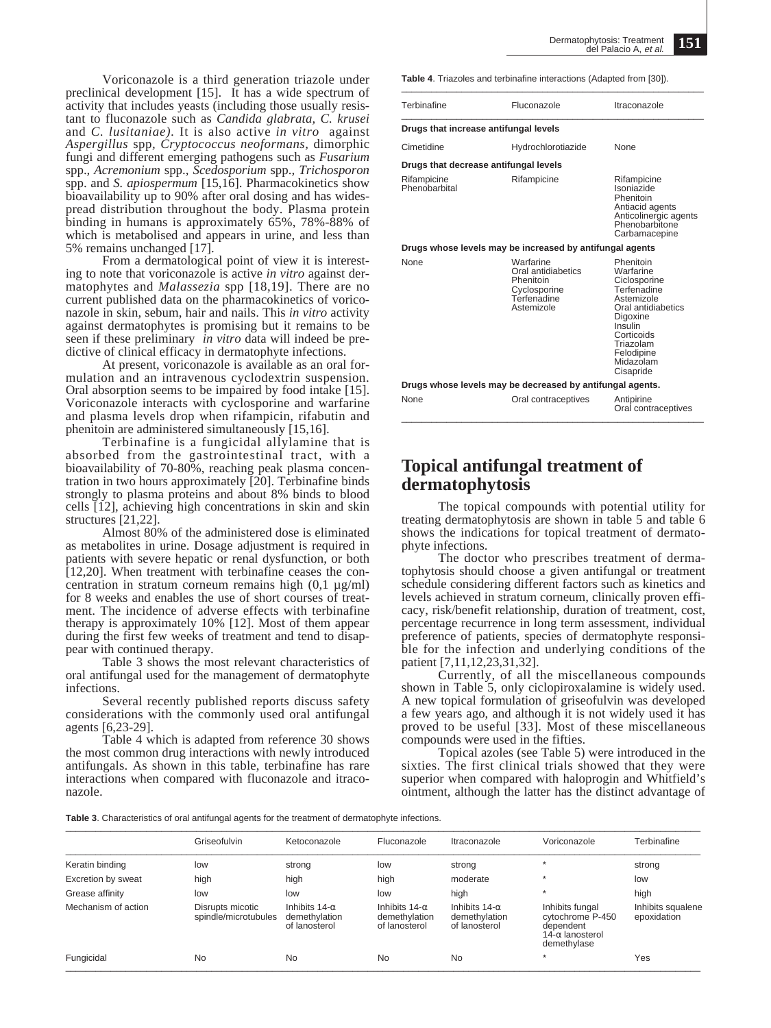Voriconazole is a third generation triazole under preclinical development [15]. It has a wide spectrum of activity that includes yeasts (including those usually resistant to fluconazole such as *Candida glabrata, C. krusei* and *C. lusitaniae).* It is also active *in vitro* against *Aspergillus* spp*, Cryptococcus neoformans,* dimorphic fungi and different emerging pathogens such as *Fusarium* spp.*, Acremonium* spp.*, Scedosporium* spp.*, Trichosporon* spp. and *S. apiospermum* [15,16]. Pharmacokinetics show bioavailability up to 90% after oral dosing and has widespread distribution throughout the body. Plasma protein binding in humans is approximately 65%, 78%-88% of which is metabolised and appears in urine, and less than 5% remains unchanged [17].

From a dermatological point of view it is interesting to note that voriconazole is active *in vitro* against dermatophytes and *Malassezia* spp [18,19]. There are no current published data on the pharmacokinetics of voriconazole in skin, sebum, hair and nails. This *in vitro* activity against dermatophytes is promising but it remains to be seen if these preliminary *in vitro* data will indeed be predictive of clinical efficacy in dermatophyte infections.

At present, voriconazole is available as an oral formulation and an intravenous cyclodextrin suspension. Oral absorption seems to be impaired by food intake [15]. Voriconazole interacts with cyclosporine and warfarine and plasma levels drop when rifampicin, rifabutin and phenitoin are administered simultaneously [15,16].

Terbinafine is a fungicidal allylamine that is absorbed from the gastrointestinal tract, with a bioavailability of 70-80%, reaching peak plasma concentration in two hours approximately [20]. Terbinafine binds strongly to plasma proteins and about 8% binds to blood cells [12], achieving high concentrations in skin and skin structures [21,22].

Almost 80% of the administered dose is eliminated as metabolites in urine. Dosage adjustment is required in patients with severe hepatic or renal dysfunction, or both [12,20]. When treatment with terbinafine ceases the concentration in stratum corneum remains high  $(0,1 \mu g/ml)$ for 8 weeks and enables the use of short courses of treatment. The incidence of adverse effects with terbinafine therapy is approximately 10% [12]. Most of them appear during the first few weeks of treatment and tend to disappear with continued therapy.

Table 3 shows the most relevant characteristics of oral antifungal used for the management of dermatophyte infections.

Several recently published reports discuss safety considerations with the commonly used oral antifungal agents [6,23-29].

Table 4 which is adapted from reference 30 shows the most common drug interactions with newly introduced antifungals. As shown in this table, terbinafine has rare interactions when compared with fluconazole and itraconazole.

**Table 4**. Triazoles and terbinafine interactions (Adapted from [30]).

| Terbinafine                                              | Fluconazole                                                                               | Itraconazole                                                                                                                                                                        |  |  |  |  |  |  |
|----------------------------------------------------------|-------------------------------------------------------------------------------------------|-------------------------------------------------------------------------------------------------------------------------------------------------------------------------------------|--|--|--|--|--|--|
| Drugs that increase antifungal levels                    |                                                                                           |                                                                                                                                                                                     |  |  |  |  |  |  |
| Cimetidine                                               | Hydrochlorotiazide                                                                        | <b>None</b>                                                                                                                                                                         |  |  |  |  |  |  |
| Drugs that decrease antifungal levels                    |                                                                                           |                                                                                                                                                                                     |  |  |  |  |  |  |
| Rifampicine<br>Phenobarbital                             | Rifampicine                                                                               | Rifampicine<br>Isoniazide<br>Phenitoin<br>Antiacid agents<br>Anticolinergic agents<br>Phenobarbitone<br>Carbamacepine                                                               |  |  |  |  |  |  |
| Drugs whose levels may be increased by antifungal agents |                                                                                           |                                                                                                                                                                                     |  |  |  |  |  |  |
| None                                                     | Warfarine<br>Oral antidiabetics<br>Phenitoin<br>Cyclosporine<br>Terfenadine<br>Astemizole | Phenitoin<br>Warfarine<br>Ciclosporine<br>Terfenadine<br>Astemizole<br>Oral antidiabetics<br>Digoxine<br>Insulin<br>Corticoids<br>Triazolam<br>Felodipine<br>Midazolam<br>Cisapride |  |  |  |  |  |  |

**Drugs whose levels may be decreased by antifungal agents.** None **Oral contraceptives** Antipirine<br>Oral contraceptives

# **Topical antifungal treatment of dermatophytosis**

The topical compounds with potential utility for treating dermatophytosis are shown in table 5 and table 6 shows the indications for topical treatment of dermatophyte infections.

The doctor who prescribes treatment of dermatophytosis should choose a given antifungal or treatment schedule considering different factors such as kinetics and levels achieved in stratum corneum, clinically proven efficacy, risk/benefit relationship, duration of treatment, cost, percentage recurrence in long term assessment, individual preference of patients, species of dermatophyte responsible for the infection and underlying conditions of the patient [7,11,12,23,31,32].

Currently, of all the miscellaneous compounds shown in Table 5, only ciclopiroxalamine is widely used. A new topical formulation of griseofulvin was developed a few years ago, and although it is not widely used it has proved to be useful [33]. Most of these miscellaneous compounds were used in the fifties.

Topical azoles (see Table 5) were introduced in the sixties. The first clinical trials showed that they were superior when compared with haloprogin and Whitfield's ointment, although the latter has the distinct advantage of

Table 3. Characteristics of oral antifungal agents for the treatment of dermatophyte infections.

|                     | Griseofulvin                             | Ketoconazole                                           | Fluconazole                                            | Itraconazole                                           | Voriconazole                                                                               | Terbinafine                      |
|---------------------|------------------------------------------|--------------------------------------------------------|--------------------------------------------------------|--------------------------------------------------------|--------------------------------------------------------------------------------------------|----------------------------------|
| Keratin binding     | low                                      | strong                                                 | low                                                    | strong                                                 |                                                                                            | strong                           |
| Excretion by sweat  | high                                     | high                                                   | high                                                   | moderate                                               |                                                                                            | low                              |
| Grease affinity     | low                                      | low                                                    | low                                                    | high                                                   |                                                                                            | high                             |
| Mechanism of action | Disrupts micotic<br>spindle/microtubules | Inhibits $14-\alpha$<br>demethylation<br>of lanosterol | Inhibits $14-\alpha$<br>demethylation<br>of lanosterol | Inhibits $14-\alpha$<br>demethylation<br>of lanosterol | Inhibits fungal<br>cytochrome P-450<br>dependent<br>14- $\alpha$ lanosterol<br>demethylase | Inhibits squalene<br>epoxidation |
| Fungicidal          | <b>No</b>                                | No                                                     | No                                                     | <b>No</b>                                              |                                                                                            | Yes                              |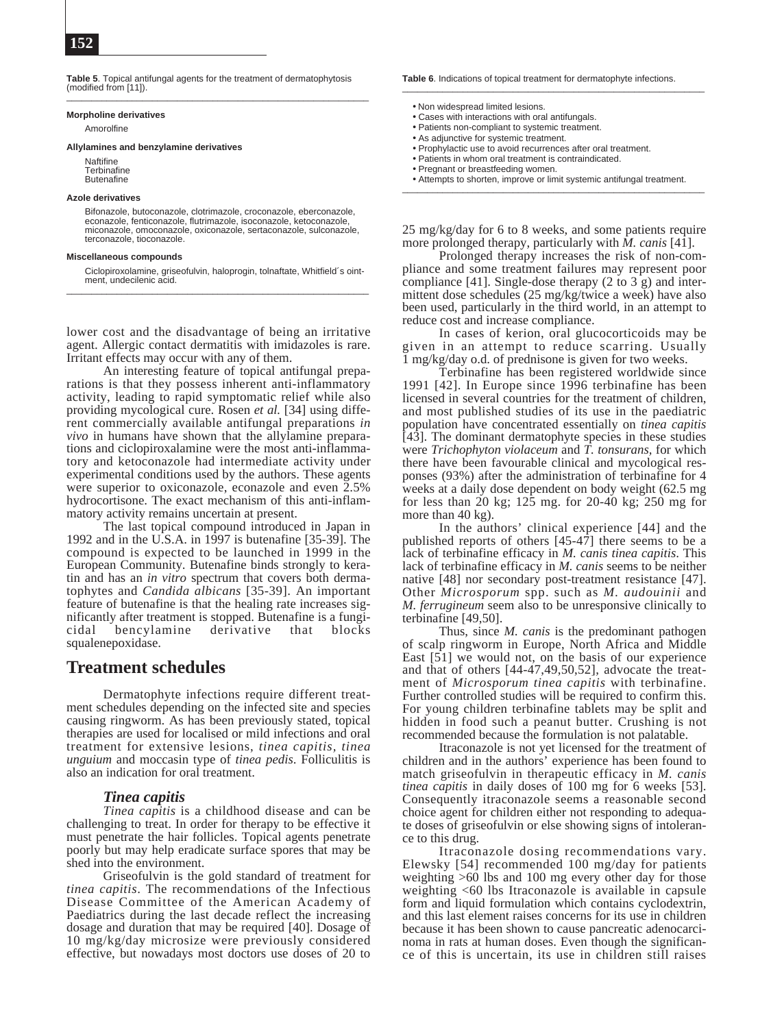**Table 5**. Topical antifungal agents for the treatment of dermatophytosis (modified from [11]). \_\_\_\_\_\_\_\_\_\_\_\_\_\_\_\_\_\_\_\_\_\_\_\_\_\_\_\_\_\_\_\_\_\_\_\_\_\_\_\_\_\_\_\_\_\_\_\_\_\_\_\_\_\_\_\_\_\_\_\_

#### **Morpholine derivatives**

Amorolfine

#### **Allylamines and benzylamine derivatives**

**Naftifine Terbinafine Butenafine** 

#### **Azole derivatives**

Bifonazole, butoconazole, clotrimazole, croconazole, eberconazole, econazole, fenticonazole, flutrimazole, isoconazole, ketoconazole, miconazole, omoconazole, oxiconazole, sertaconazole, sulconazole, terconazole, tioconazole.

#### **Miscellaneous compounds**

Ciclopiroxolamine, griseofulvin, haloprogin, tolnaftate, Whitfield´s ointment, undecilenic acid.

lower cost and the disadvantage of being an irritative agent. Allergic contact dermatitis with imidazoles is rare. Irritant effects may occur with any of them.

An interesting feature of topical antifungal preparations is that they possess inherent anti-inflammatory activity, leading to rapid symptomatic relief while also providing mycological cure. Rosen *et al.* [34] using different commercially available antifungal preparations *in vivo* in humans have shown that the allylamine preparations and ciclopiroxalamine were the most anti-inflammatory and ketoconazole had intermediate activity under experimental conditions used by the authors. These agents were superior to oxiconazole, econazole and even 2.5% hydrocortisone. The exact mechanism of this anti-inflammatory activity remains uncertain at present.

The last topical compound introduced in Japan in 1992 and in the U.S.A. in 1997 is butenafine  $[35-39]$ . The compound is expected to be launched in 1999 in the European Community. Butenafine binds strongly to keratin and has an *in vitro* spectrum that covers both dermatophytes and *Candida albicans* [35-39]. An important feature of butenafine is that the healing rate increases significantly after treatment is stopped. Butenafine is a fungicidal bencylamine derivative that blocks squalenepoxidase.

# **Treatment schedules**

Dermatophyte infections require different treatment schedules depending on the infected site and species causing ringworm. As has been previously stated, topical therapies are used for localised or mild infections and oral treatment for extensive lesions, *tinea capitis, tinea unguium* and moccasin type of *tinea pedis*. Folliculitis is also an indication for oral treatment.

# *Tinea capitis*

*Tinea capitis* is a childhood disease and can be challenging to treat. In order for therapy to be effective it must penetrate the hair follicles. Topical agents penetrate poorly but may help eradicate surface spores that may be shed into the environment.

Griseofulvin is the gold standard of treatment for *tinea capitis*. The recommendations of the Infectious Disease Committee of the American Academy of Paediatrics during the last decade reflect the increasing dosage and duration that may be required [40]. Dosage of 10 mg/kg/day microsize were previously considered effective, but nowadays most doctors use doses of 20 to **Table 6**. Indications of topical treatment for dermatophyte infections.

- Non widespread limited lesions.
- Cases with interactions with oral antifungals.
- Patients non-compliant to systemic treatment.
- As adjunctive for systemic treatment.
- Prophylactic use to avoid recurrences after oral treatment.
- Patients in whom oral treatment is contraindicated.
- Pregnant or breastfeeding women.
- Attempts to shorten, improve or limit systemic antifungal treatment.

25 mg/kg/day for 6 to 8 weeks, and some patients require more prolonged therapy, particularly with *M. canis* [41].

Prolonged therapy increases the risk of non-compliance and some treatment failures may represent poor compliance [41]. Single-dose therapy (2 to 3 g) and intermittent dose schedules (25 mg/kg/twice a week) have also been used, particularly in the third world, in an attempt to reduce cost and increase compliance.

In cases of kerion, oral glucocorticoids may be given in an attempt to reduce scarring. Usually 1 mg/kg/day o.d. of prednisone is given for two weeks.

Terbinafine has been registered worldwide since 1991 [42]. In Europe since 1996 terbinafine has been licensed in several countries for the treatment of children, and most published studies of its use in the paediatric population have concentrated essentially on *tinea capitis* [43]. The dominant dermatophyte species in these studies were *Trichophyton violaceum* and *T. tonsurans,* for which there have been favourable clinical and mycological responses (93%) after the administration of terbinafine for 4 weeks at a daily dose dependent on body weight (62.5 mg for less than 20 kg; 125 mg. for 20-40 kg; 250 mg for more than 40 kg).

In the authors' clinical experience [44] and the published reports of others [45-47] there seems to be a lack of terbinafine efficacy in *M. canis tinea capitis*. This lack of terbinafine efficacy in *M. canis* seems to be neither native [48] nor secondary post-treatment resistance [47]. Other *Microsporum* spp. such as *M. audouinii* and *M. ferrugineum* seem also to be unresponsive clinically to terbinafine [49,50].

Thus, since *M. canis* is the predominant pathogen of scalp ringworm in Europe, North Africa and Middle East [51] we would not, on the basis of our experience and that of others [44-47,49,50,52], advocate the treatment of *Microsporum tinea capitis* with terbinafine. Further controlled studies will be required to confirm this. For young children terbinafine tablets may be split and hidden in food such a peanut butter. Crushing is not recommended because the formulation is not palatable.

Itraconazole is not yet licensed for the treatment of children and in the authors' experience has been found to match griseofulvin in therapeutic efficacy in *M. canis tinea capitis* in daily doses of 100 mg for 6 weeks [53]. Consequently itraconazole seems a reasonable second choice agent for children either not responding to adequate doses of griseofulvin or else showing signs of intolerance to this drug.

Itraconazole dosing recommendations vary. Elewsky [54] recommended 100 mg/day for patients weighting >60 lbs and 100 mg every other day for those weighting <60 lbs Itraconazole is available in capsule form and liquid formulation which contains cyclodextrin, and this last element raises concerns for its use in children because it has been shown to cause pancreatic adenocarcinoma in rats at human doses. Even though the significance of this is uncertain, its use in children still raises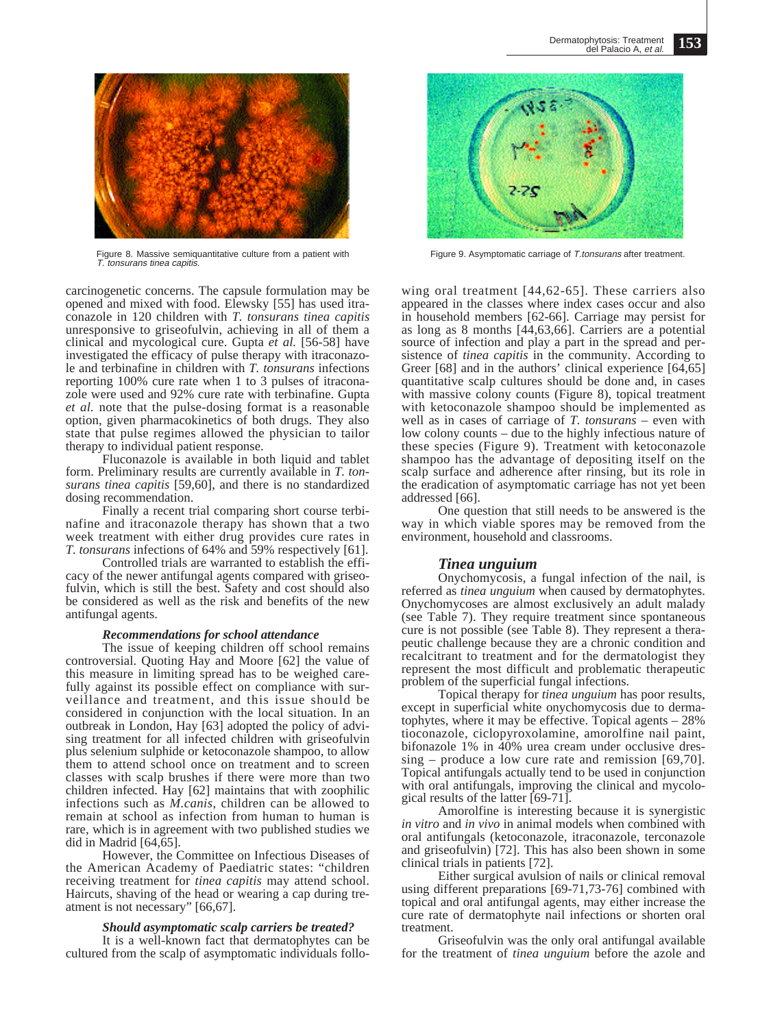

Figure 8. Massive semiquantitative culture from a patient with T. tonsurans tinea capitis.

carcinogenetic concerns. The capsule formulation may be opened and mixed with food. Elewsky [55] has used itraconazole in 120 children with *T. tonsurans tinea capitis* unresponsive to griseofulvin, achieving in all of them a clinical and mycological cure. Gupta *et al.* [56-58] have investigated the efficacy of pulse therapy with itraconazole and terbinafine in children with *T. tonsurans* infections reporting 100% cure rate when 1 to 3 pulses of itraconazole were used and 92% cure rate with terbinafine. Gupta *et al.* note that the pulse-dosing format is a reasonable option, given pharmacokinetics of both drugs. They also state that pulse regimes allowed the physician to tailor therapy to individual patient response.

Fluconazole is available in both liquid and tablet form. Preliminary results are currently available in *T. tonsurans tinea capitis* [59,60], and there is no standardized dosing recommendation.

Finally a recent trial comparing short course terbinafine and itraconazole therapy has shown that a two week treatment with either drug provides cure rates in *T. tonsurans* infections of 64% and 59% respectively [61].

Controlled trials are warranted to establish the efficacy of the newer antifungal agents compared with griseofulvin, which is still the best. Safety and cost should also be considered as well as the risk and benefits of the new antifungal agents.

### *Recommendations for school attendance*

The issue of keeping children off school remains controversial. Quoting Hay and Moore [62] the value of this measure in limiting spread has to be weighed carefully against its possible effect on compliance with surveillance and treatment, and this issue should be considered in conjunction with the local situation. In an outbreak in London, Hay [63] adopted the policy of advising treatment for all infected children with griseofulvin plus selenium sulphide or ketoconazole shampoo, to allow them to attend school once on treatment and to screen classes with scalp brushes if there were more than two children infected. Hay [62] maintains that with zoophilic infections such as *M.canis*, children can be allowed to remain at school as infection from human to human is rare, which is in agreement with two published studies we did in Madrid [64,65].

However, the Committee on Infectious Diseases of the American Academy of Paediatric states: "children receiving treatment for *tinea capitis* may attend school. Haircuts, shaving of the head or wearing a cap during treatment is not necessary" [66,67].

## *Should asymptomatic scalp carriers be treated?*

It is a well-known fact that dermatophytes can be cultured from the scalp of asymptomatic individuals follo-



Figure 9. Asymptomatic carriage of T.tonsurans after treatment.

wing oral treatment [44,62-65]. These carriers also appeared in the classes where index cases occur and also in household members [62-66]. Carriage may persist for as long as 8 months [44,63,66]. Carriers are a potential source of infection and play a part in the spread and persistence of *tinea capitis* in the community. According to Greer [68] and in the authors' clinical experience [64,65] quantitative scalp cultures should be done and, in cases with massive colony counts (Figure 8), topical treatment with ketoconazole shampoo should be implemented as well as in cases of carriage of *T. tonsurans* – even with low colony counts – due to the highly infectious nature of these species (Figure 9). Treatment with ketoconazole shampoo has the advantage of depositing itself on the scalp surface and adherence after rinsing, but its role in the eradication of asymptomatic carriage has not yet been addressed [66].

One question that still needs to be answered is the way in which viable spores may be removed from the environment, household and classrooms.

# *Tinea unguium*

Onychomycosis, a fungal infection of the nail, is referred as *tinea unguium* when caused by dermatophytes. Onychomycoses are almost exclusively an adult malady (see Table 7). They require treatment since spontaneous cure is not possible (see Table 8). They represent a therapeutic challenge because they are a chronic condition and recalcitrant to treatment and for the dermatologist they represent the most difficult and problematic therapeutic problem of the superficial fungal infections.

Topical therapy for *tinea unguium* has poor results, except in superficial white onychomycosis due to dermatophytes, where it may be effective. Topical agents – 28% tioconazole, ciclopyroxolamine, amorolfine nail paint, bifonazole 1% in 40% urea cream under occlusive dressing – produce a low cure rate and remission [69,70]. Topical antifungals actually tend to be used in conjunction with oral antifungals, improving the clinical and mycological results of the latter [69-71].

Amorolfine is interesting because it is synergistic *in vitro* and *in vivo* in animal models when combined with oral antifungals (ketoconazole, itraconazole, terconazole and griseofulvin) [72]. This has also been shown in some clinical trials in patients [72].

Either surgical avulsion of nails or clinical removal using different preparations [69-71,73-76] combined with topical and oral antifungal agents, may either increase the cure rate of dermatophyte nail infections or shorten oral treatment.

Griseofulvin was the only oral antifungal available for the treatment of *tinea unguium* before the azole and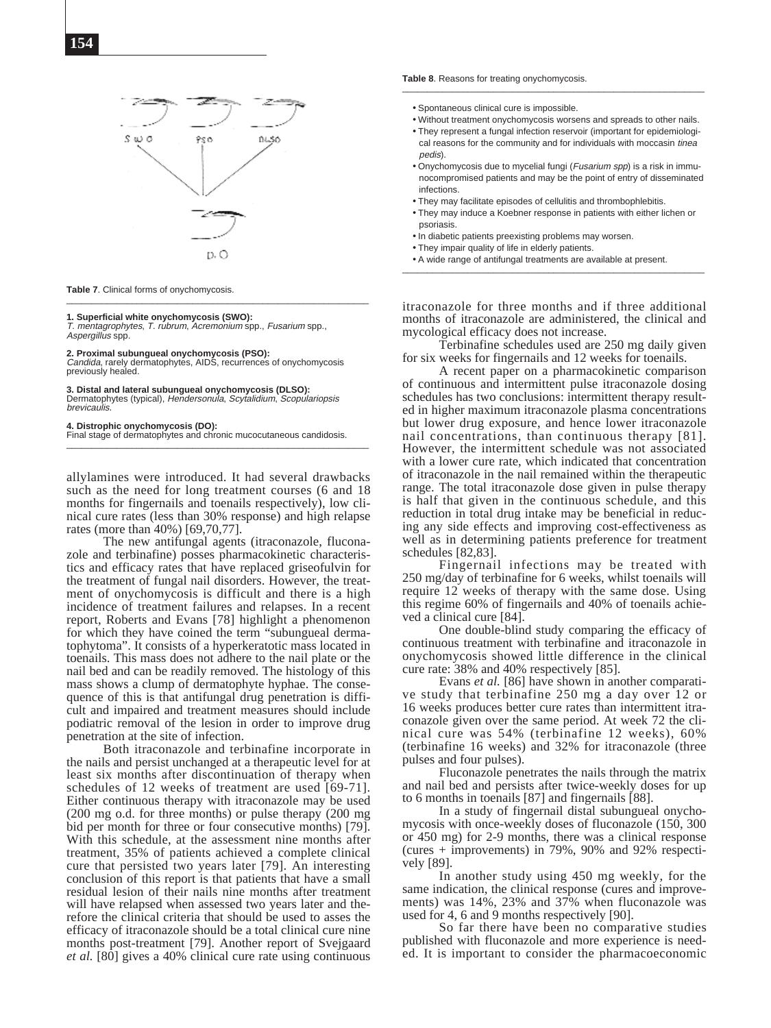

**Table 7**. Clinical forms of onychomycosis.

**1. Superficial white onychomycosis (SWO):** T. mentagrophytes, T. rubrum, Acremonium spp., Fusarium spp., Aspergillus spp.

#### **2. Proximal subungueal onychomycosis (PSO):**

Candida, rarely dermatophytes, AIDS, recurrences of onychomycosis previously healed.

\_\_\_\_\_\_\_\_\_\_\_\_\_\_\_\_\_\_\_\_\_\_\_\_\_\_\_\_\_\_\_\_\_\_\_\_\_\_\_\_\_\_\_\_\_\_\_\_\_\_\_\_\_\_\_\_\_\_\_\_

#### **3. Distal and lateral subungueal onychomycosis (DLSO):** Dermatophytes (typical), Hendersonula, Scytalidium, Scopulariopsis brevicaulis.

#### **4. Distrophic onychomycosis (DO):**

Final stage of dermatophytes and chronic mucocutaneous candidosis. \_\_\_\_\_\_\_\_\_\_\_\_\_\_\_\_\_\_\_\_\_\_\_\_\_\_\_\_\_\_\_\_\_\_\_\_\_\_\_\_\_\_\_\_\_\_\_\_\_\_\_\_\_\_\_\_\_\_\_\_

allylamines were introduced. It had several drawbacks such as the need for long treatment courses (6 and 18 months for fingernails and toenails respectively), low clinical cure rates (less than 30% response) and high relapse rates (more than 40%) [69,70,77].

The new antifungal agents (itraconazole, fluconazole and terbinafine) posses pharmacokinetic characteristics and efficacy rates that have replaced griseofulvin for the treatment of fungal nail disorders. However, the treatment of onychomycosis is difficult and there is a high incidence of treatment failures and relapses. In a recent report, Roberts and Evans [78] highlight a phenomenon for which they have coined the term "subungueal dermatophytoma". It consists of a hyperkeratotic mass located in toenails. This mass does not adhere to the nail plate or the nail bed and can be readily removed. The histology of this mass shows a clump of dermatophyte hyphae. The consequence of this is that antifungal drug penetration is difficult and impaired and treatment measures should include podiatric removal of the lesion in order to improve drug penetration at the site of infection.

Both itraconazole and terbinafine incorporate in the nails and persist unchanged at a therapeutic level for at least six months after discontinuation of therapy when schedules of 12 weeks of treatment are used [69-71]. Either continuous therapy with itraconazole may be used (200 mg o.d. for three months) or pulse therapy (200 mg bid per month for three or four consecutive months) [79]. With this schedule, at the assessment nine months after treatment, 35% of patients achieved a complete clinical cure that persisted two years later [79]. An interesting conclusion of this report is that patients that have a small residual lesion of their nails nine months after treatment will have relapsed when assessed two years later and therefore the clinical criteria that should be used to asses the efficacy of itraconazole should be a total clinical cure nine months post-treatment [79]. Another report of Svejgaard *et al.* [80] gives a 40% clinical cure rate using continuous

**Table 8**. Reasons for treating onychomycosis. \_\_\_\_\_\_\_\_\_\_\_\_\_\_\_\_\_\_\_\_\_\_\_\_\_\_\_\_\_\_\_\_\_\_\_\_\_\_\_\_\_\_\_\_\_\_\_\_\_\_\_\_\_\_\_\_\_\_\_\_

- Spontaneous clinical cure is impossible.
- Without treatment onychomycosis worsens and spreads to other nails.
- They represent a fungal infection reservoir (important for epidemiological reasons for the community and for individuals with moccasin tinea pedis).
- Onychomycosis due to mycelial fungi (Fusarium spp) is a risk in immunocompromised patients and may be the point of entry of disseminated infections.
- They may facilitate episodes of cellulitis and thrombophlebitis.
- They may induce a Koebner response in patients with either lichen or psoriasis.
- In diabetic patients preexisting problems may worsen.
- They impair quality of life in elderly patients.
- A wide range of antifungal treatments are available at present.

itraconazole for three months and if three additional months of itraconazole are administered, the clinical and mycological efficacy does not increase.

Terbinafine schedules used are 250 mg daily given for six weeks for fingernails and 12 weeks for toenails.

A recent paper on a pharmacokinetic comparison of continuous and intermittent pulse itraconazole dosing schedules has two conclusions: intermittent therapy resulted in higher maximum itraconazole plasma concentrations but lower drug exposure, and hence lower itraconazole nail concentrations, than continuous therapy [81]. However, the intermittent schedule was not associated with a lower cure rate, which indicated that concentration of itraconazole in the nail remained within the therapeutic range. The total itraconazole dose given in pulse therapy is half that given in the continuous schedule, and this reduction in total drug intake may be beneficial in reducing any side effects and improving cost-effectiveness as well as in determining patients preference for treatment schedules [82,83].

Fingernail infections may be treated with 250 mg/day of terbinafine for 6 weeks, whilst toenails will require 12 weeks of therapy with the same dose. Using this regime 60% of fingernails and 40% of toenails achieved a clinical cure [84].

One double-blind study comparing the efficacy of continuous treatment with terbinafine and itraconazole in onychomycosis showed little difference in the clinical cure rate: 38% and 40% respectively [85].

Evans *et al.* [86] have shown in another comparative study that terbinafine 250 mg a day over 12 or 16 weeks produces better cure rates than intermittent itraconazole given over the same period. At week 72 the clinical cure was 54% (terbinafine 12 weeks), 60% (terbinafine 16 weeks) and 32% for itraconazole (three pulses and four pulses).

Fluconazole penetrates the nails through the matrix and nail bed and persists after twice-weekly doses for up to 6 months in toenails [87] and fingernails [88].

In a study of fingernail distal subungueal onychomycosis with once-weekly doses of fluconazole (150, 300 or 450 mg) for 2-9 months, there was a clinical response (cures + improvements) in 79%, 90% and 92% respectively [89].

In another study using 450 mg weekly, for the same indication, the clinical response (cures and improvements) was 14%, 23% and 37% when fluconazole was used for 4, 6 and 9 months respectively [90].

So far there have been no comparative studies published with fluconazole and more experience is needed. It is important to consider the pharmacoeconomic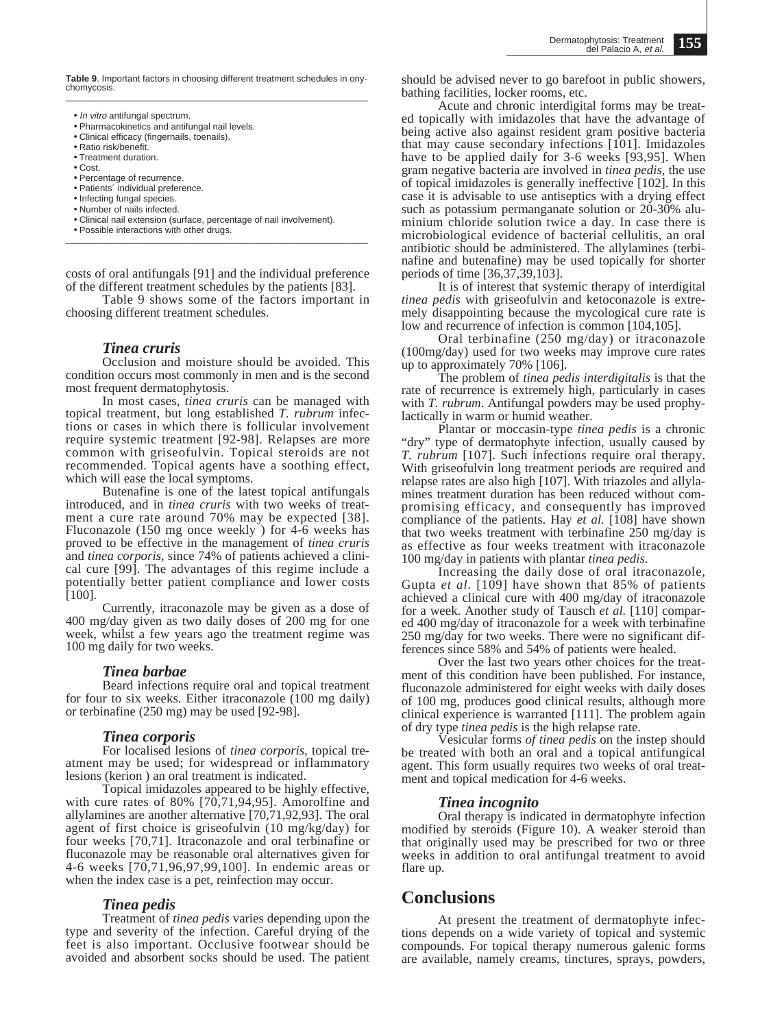**Table 9**. Important factors in choosing different treatment schedules in onychomycosis. \_\_\_\_\_\_\_\_\_\_\_\_\_\_\_\_\_\_\_\_\_\_\_\_\_\_\_\_\_\_\_\_\_\_\_\_\_\_\_\_\_\_\_\_\_\_\_\_\_\_\_\_\_\_\_\_\_\_\_\_

- In vitro antifungal spectrum.
- Pharmacokinetics and antifungal nail levels.
- Clinical efficacy (fingernails, toenails).
- Ratio risk/benefit. • Treatment duration.
- Cost.
- Percentage of recurrence.
- Patients´ individual preference.
- Infecting fungal species.
- Number of nails infected.
- Clinical nail extension (surface, percentage of nail involvement).
- Possible interactions with other drugs.  $\_$  ,  $\_$  ,  $\_$  ,  $\_$  ,  $\_$  ,  $\_$  ,  $\_$  ,  $\_$  ,  $\_$  ,  $\_$  ,  $\_$  ,  $\_$  ,  $\_$  ,  $\_$  ,  $\_$  ,  $\_$  ,  $\_$  ,  $\_$  ,  $\_$

costs of oral antifungals [91] and the individual preference of the different treatment schedules by the patients [83].

Table 9 shows some of the factors important in choosing different treatment schedules.

# *Tinea cruris*

Occlusion and moisture should be avoided. This condition occurs most commonly in men and is the second most frequent dermatophytosis.

In most cases, *tinea cruris* can be managed with topical treatment, but long established *T. rubrum* infections or cases in which there is follicular involvement require systemic treatment [92-98]. Relapses are more common with griseofulvin. Topical steroids are not recommended. Topical agents have a soothing effect, which will ease the local symptoms.

Butenafine is one of the latest topical antifungals introduced, and in *tinea cruris* with two weeks of treatment a cure rate around 70% may be expected [38]. Fluconazole (150 mg once weekly ) for 4-6 weeks has proved to be effective in the management of *tinea cruris* and *tinea corporis*, since 74% of patients achieved a clinical cure [99]. The advantages of this regime include a potentially better patient compliance and lower costs [100].

Currently, itraconazole may be given as a dose of 400 mg/day given as two daily doses of 200 mg for one week, whilst a few years ago the treatment regime was 100 mg daily for two weeks.

# *Tinea barbae*

Beard infections require oral and topical treatment for four to six weeks. Either itraconazole (100 mg daily) or terbinafine (250 mg) may be used [92-98].

# *Tinea corporis*

For localised lesions of *tinea corporis,* topical treatment may be used; for widespread or inflammatory lesions (kerion ) an oral treatment is indicated.

Topical imidazoles appeared to be highly effective, with cure rates of 80% [70,71,94,95]. Amorolfine and allylamines are another alternative [70,71,92,93]. The oral agent of first choice is griseofulvin (10 mg/kg/day) for four weeks [70,71]. Itraconazole and oral terbinafine or fluconazole may be reasonable oral alternatives given for 4-6 weeks [70,71,96,97,99,100]. In endemic areas or when the index case is a pet, reinfection may occur.

# *Tinea pedis*

Treatment of *tinea pedis* varies depending upon the type and severity of the infection. Careful drying of the feet is also important. Occlusive footwear should be avoided and absorbent socks should be used. The patient should be advised never to go barefoot in public showers, bathing facilities, locker rooms, etc.

Acute and chronic interdigital forms may be treated topically with imidazoles that have the advantage of being active also against resident gram positive bacteria that may cause secondary infections [101]. Imidazoles have to be applied daily for 3-6 weeks [93,95]. When gram negative bacteria are involved in *tinea pedis,* the use of topical imidazoles is generally ineffective [102]. In this case it is advisable to use antiseptics with a drying effect such as potassium permanganate solution or 20-30% aluminium chloride solution twice a day. In case there is microbiological evidence of bacterial cellulitis, an oral antibiotic should be administered. The allylamines (terbinafine and butenafine) may be used topically for shorter periods of time [36,37,39,103].

It is of interest that systemic therapy of interdigital *tinea pedis* with griseofulvin and ketoconazole is extremely disappointing because the mycological cure rate is low and recurrence of infection is common [104,105].

Oral terbinafine (250 mg/day) or itraconazole (100mg/day) used for two weeks may improve cure rates up to approximately 70% [106].

The problem of *tinea pedis interdigitalis* is that the rate of recurrence is extremely high, particularly in cases with *T. rubrum*. Antifungal powders may be used prophylactically in warm or humid weather.

Plantar or moccasin-type *tinea pedis* is a chronic "dry" type of dermatophyte infection, usually caused by *T. rubrum* [107]. Such infections require oral therapy. With griseofulvin long treatment periods are required and relapse rates are also high [107]. With triazoles and allylamines treatment duration has been reduced without compromising efficacy, and consequently has improved compliance of the patients. Hay *et al.* [108] have shown that two weeks treatment with terbinafine 250 mg/day is as effective as four weeks treatment with itraconazole 100 mg/day in patients with plantar *tinea pedis*.

Increasing the daily dose of oral itraconazole, Gupta *et al.* [109] have shown that 85% of patients achieved a clinical cure with 400 mg/day of itraconazole for a week. Another study of Tausch *et al.* [110] compared 400 mg/day of itraconazole for a week with terbinafine 250 mg/day for two weeks. There were no significant differences since 58% and 54% of patients were healed.

Over the last two years other choices for the treatment of this condition have been published. For instance, fluconazole administered for eight weeks with daily doses of 100 mg, produces good clinical results, although more clinical experience is warranted [111]. The problem again of dry type *tinea pedis* is the high relapse rate.

Vesicular forms *of tinea pedis* on the instep should be treated with both an oral and a topical antifungical agent. This form usually requires two weeks of oral treatment and topical medication for 4-6 weeks.

# *Tinea incognito*

Oral therapy is indicated in dermatophyte infection modified by steroids (Figure 10). A weaker steroid than that originally used may be prescribed for two or three weeks in addition to oral antifungal treatment to avoid flare up.

# **Conclusions**

At present the treatment of dermatophyte infections depends on a wide variety of topical and systemic compounds. For topical therapy numerous galenic forms are available, namely creams, tinctures, sprays, powders,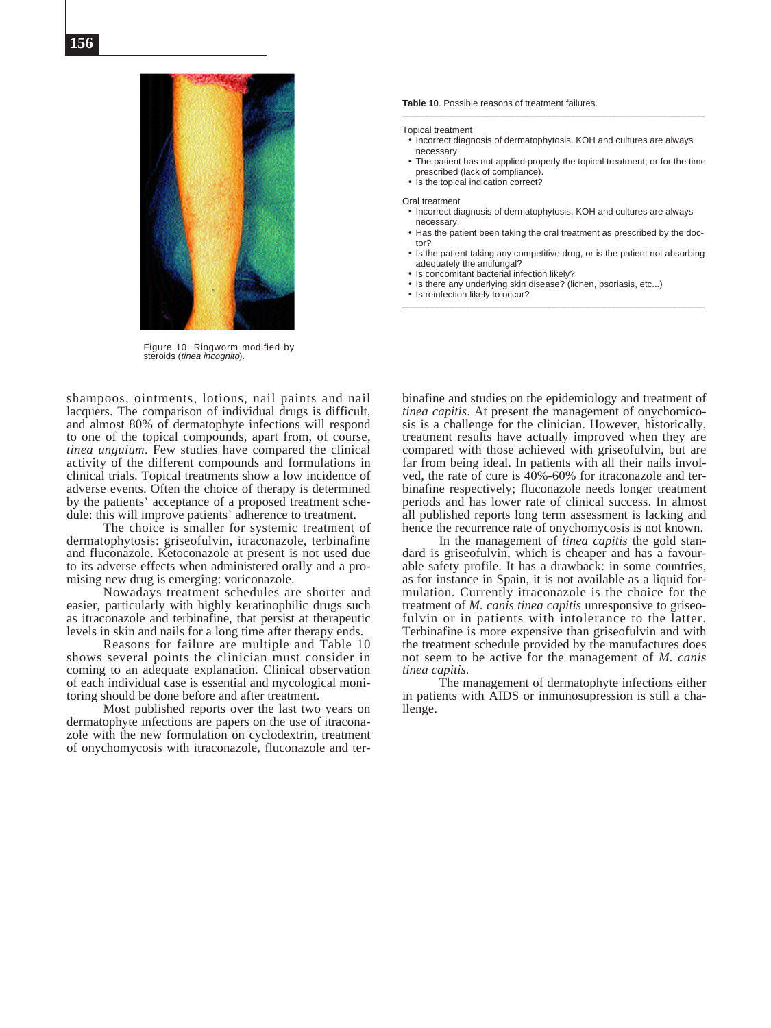

Figure 10. Ringworm modified by steroids (*tinea incognito*).

shampoos, ointments, lotions, nail paints and nail lacquers. The comparison of individual drugs is difficult, and almost 80% of dermatophyte infections will respond to one of the topical compounds, apart from, of course, *tinea unguium*. Few studies have compared the clinical activity of the different compounds and formulations in clinical trials. Topical treatments show a low incidence of adverse events. Often the choice of therapy is determined by the patients' acceptance of a proposed treatment schedule: this will improve patients' adherence to treatment.

The choice is smaller for systemic treatment of dermatophytosis: griseofulvin, itraconazole, terbinafine and fluconazole. Ketoconazole at present is not used due to its adverse effects when administered orally and a promising new drug is emerging: voriconazole.

Nowadays treatment schedules are shorter and easier, particularly with highly keratinophilic drugs such as itraconazole and terbinafine, that persist at therapeutic levels in skin and nails for a long time after therapy ends.

Reasons for failure are multiple and Table 10 shows several points the clinician must consider in coming to an adequate explanation. Clinical observation of each individual case is essential and mycological monitoring should be done before and after treatment.

Most published reports over the last two years on dermatophyte infections are papers on the use of itraconazole with the new formulation on cyclodextrin, treatment of onychomycosis with itraconazole, fluconazole and ter**Table 10**. Possible reasons of treatment failures. \_\_\_\_\_\_\_\_\_\_\_\_\_\_\_\_\_\_\_\_\_\_\_\_\_\_\_\_\_\_\_\_\_\_\_\_\_\_\_\_\_\_\_\_\_\_\_\_\_\_\_\_\_\_\_\_\_\_\_\_

Topical treatment

- Incorrect diagnosis of dermatophytosis. KOH and cultures are always necessary.
- The patient has not applied properly the topical treatment, or for the time prescribed (lack of compliance).
- Is the topical indication correct?

#### Oral treatment

- Incorrect diagnosis of dermatophytosis. KOH and cultures are always necessary.
- Has the patient been taking the oral treatment as prescribed by the doctor?

\_\_\_\_\_\_\_\_\_\_\_\_\_\_\_\_\_\_\_\_\_\_\_\_\_\_\_\_\_\_\_\_\_\_\_\_\_\_\_\_\_\_\_\_\_\_\_\_\_\_\_\_\_\_\_\_\_\_\_\_

- Is the patient taking any competitive drug, or is the patient not absorbing adequately the antifungal?
- Is concomitant bacterial infection likely?
- Is there any underlying skin disease? (lichen, psoriasis, etc...)
- Is reinfection likely to occur?

binafine and studies on the epidemiology and treatment of *tinea capitis*. At present the management of onychomicosis is a challenge for the clinician. However, historically, treatment results have actually improved when they are compared with those achieved with griseofulvin, but are far from being ideal. In patients with all their nails involved, the rate of cure is 40%-60% for itraconazole and terbinafine respectively; fluconazole needs longer treatment periods and has lower rate of clinical success. In almost all published reports long term assessment is lacking and hence the recurrence rate of onychomycosis is not known.

In the management of *tinea capitis* the gold standard is griseofulvin, which is cheaper and has a favourable safety profile. It has a drawback: in some countries, as for instance in Spain, it is not available as a liquid formulation. Currently itraconazole is the choice for the treatment of *M. canis tinea capitis* unresponsive to griseofulvin or in patients with intolerance to the latter. Terbinafine is more expensive than griseofulvin and with the treatment schedule provided by the manufactures does not seem to be active for the management of *M. canis tinea capitis.*

The management of dermatophyte infections either in patients with AIDS or inmunosupression is still a challenge.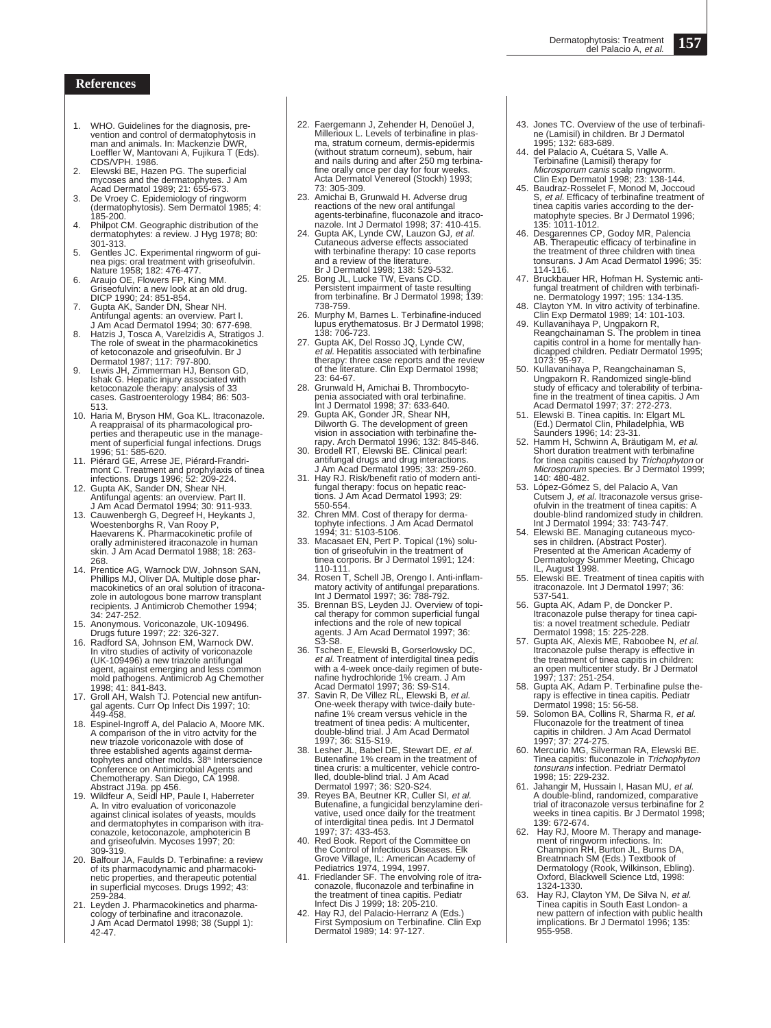### **References**

- 1. WHO. Guidelines for the diagnosis, pre-vention and control of dermatophytosis in man and animals. In: Mackenzie DWR Loeffler W, Mantovani A, Fujikura T (Eds). CDS/VPH. 1986.
- Elewski BE, Hazen PG. The superficial mycoses and the dermatophytes. J Am Acad Dermatol 1989; 21: 655-673.
- 3. De Vroey C. Epidemiology of ringworm (dermatophytosis). Sem Dermatol 1985; 4: 185-200.
- Philpot CM. Geographic distribution of the dermatophytes: a review. J Hyg 1978; 80: 301-313.
- 5. Gentles JC. Experimental ringworm of guinea pigs: oral treatment with griseofulvin. Nature 1958; 182: 476-477.
- 6. Araujo OE, Flowers FP, King MM. Griseofulvin: a new look at an old drug. DICP 1990; 24: 851-854.
- 7. Gupta AK, Sander DN, Shear NH. Antifungal agents: an overview. Part I. J Am Acad Dermatol 1994; 30: 677-698.
- 8. Hatzis J, Tosca A, Varelzidis A, Stratigos J.<br>The role of sweat in the pharmacokinetics<br>of ketoconazole and griseofulvin. Br J<br>Dermatol 1987; 117: 797-800.<br>9. Lewis JH, Zimmerman HJ, Benson GD,<br>Ishak G. Hepatic injury a
- ketoconazole therapy: analysis of 33 cases. Gastroenterology 1984; 86: 503- 513.
- 10. Haria M, Bryson HM, Goa KL. Itraconazole. A reappraisal of its pharmacological properties and therapeutic use in the manage-ment of superficial fungal infections. Drugs 1996; 51: 585-620.
- 
- 
- 11. Piérard GE, Arrese JE, Piérard-Frandrimont C. Treatment and prophylaxis of tinea<br>infections. Drugs 1996; 52: 209-224.<br>12. Gupta AK, Sander DN, Shear NH.<br>Antifungal agents: an overview. Part II.<br>Am Acad Dermatol 1994; 3 skin. J Am Acad Dermatol 1988; 18: 263- 268.
- 14. Prentice AG, Warnock DW, Johnson SAN, Phillips MJ, Oliver DA. Multiple dose pharmacokinetics of an oral solution of itracona-zole in autologous bone marrow transplant recipients. J Antimicrob Chemother 1994;
- 34: 247-252. 15. Anonymous. Voriconazole, UK-109496.
- Drugs future 1997; 22: 326-327. 16. Radford SA, Johnson EM, Warnock DW. In vitro studies of activity of voriconazole (UK-109496) a new triazole antifungal agent, against emerging and less common mold pathogens. Antimicrob Ag Chemother
- 1998; 41: 841-843. 17. Groll AH, Walsh TJ. Potencial new antifungal agents. Curr Op Infect Dis 1997; 10: 449-458.
- 18. Espinel-Ingroff A, del Palacio A, Moore MK. A comparison of the in vitro actvity for the new triazole voriconazole with dose of three established agents against derma-tophytes and other molds. 38th Interscience Conference on Antimicrobial Agents and Chemotherapy. San Diego, CA 1998.
- Abstract J19a. pp 456. 19. Wildfeur A, Seidl HP, Paule I, Haberreter A. In vitro evaluation of voriconazole against clinical isolates of yeasts, moulds and dermatophytes in comparison with itra-conazole, ketoconazole, amphotericin B and griseofulvin. Mycoses 1997; 20: 309-319.
- 20. Balfour JA, Faulds D. Terbinafine: a review of its pharmacodynamic and pharmacoki-netic properties, and therapeutic potential in superficial mycoses. Drugs 1992; 43: 259-284.
- 21. Leyden J. Pharmacokinetics and pharmacology of terbinafine and itraconazole. J Am Acad Dermatol 1998; 38 (Suppl 1): 42-47.
- 22. Faergemann J, Zehender H, Denoüel J, Millerioux L. Levels of terbinafine in plasma, stratum corneum, dermis-epidermis (without stratum corneum), sebum, hair and nails during and after 250 mg terbinafine orally once per day for four weeks. Acta Dermatol Venereol (Stockh) 1993;
- 73: 305-309. 23. Amichai B, Grunwald H. Adverse drug reactions of the new oral antifungal
- agents-terbinafine, fluconazole and itraco-nazole. Int J Dermatol 1998; 37: 410-415. 24. Gupta AK, Lynde CW, Lauzon GJ, et al. Cutaneous adverse effects associated with terbinafine therapy: 10 case reports and a review of the literature.
- Br J Dermatol 1998; 138: 529-532. 25. Bong JL, Lucke TW, Evans CD. Persistent impairment of taste resulting from terbinafine. Br J Dermatol 1998; 139: 738-759.
- 26. Murphy M, Barnes L. Terbinafine-induced lupus erythematosus. Br J Dermatol 1998; 138: 706-723.
- 27. Gupta AK, Del Rosso JQ, Lynde CW, et al. Hepatitis associated with terbinafine<br>therapy: three case reports and the review literature. Clin Exp Dermatol 1998; 23: 64-67.
- 28. Grunwald H, Amichai B. Thrombocyto-
- penia associated with oral terbinafine.<br>
Int J Dermatol 1998; 37: 633-640.<br>
29. Gupta AK, Gonder JR, Shear NH,<br>
Dilworth G. The development of green<br>
vision in association with terbinafine the-
- rapy. Arch Dermatol 1996; 132: 845-846. 30. Brodell RT, Elewski BE. Clinical pearl: antifungal drugs and drug interactions. J Am Acad Dermatol 1995; 33: 259-260.
- 31. Hay RJ. Risk/benefit ratio of modern anti-fungal therapy: focus on hepatic reactions. J Am Acad Dermatol 1993; 29: 550-554.
- 32. Chren MM. Cost of therapy for dermatophyte infections. J Am Acad Dermatol 1994; 31: 5103-5106. 33. Macasaet EN, Pert P. Topical (1%) solu-
- tion of griseofulvin in the treatment of tinea corporis. Br J Dermatol 1991; 124:  $110 - 111$
- 34. Rosen T, Schell JB, Orengo I. Anti-inflam-matory activity of antifungal preparations. Int J Dermatol 1997; 36: 788-792.
- 35. Brennan BS, Leyden JJ. Overview of topi-cal therapy for common superficial fungal infections and the role of new topical agents. J Am Acad Dermatol 1997; 36: S3-S8.
- 36. Tschen E, Elewski B, Gorserlowsky DC, et al. Treatment of interdigital tinea pedis<br>with a 4-week once-daily regimen of bute-<br>nafine hydrochloride 1% cream. J Am<br>Acad Dermatol 1997; 36: S9-S14.<br>37. Savin R, De Villez RL, Elewski B, *et al.*
- One-week therapy with twice-daily butenafine 1% cream versus vehicle in the treatment of tinea pedis: A multicenter, double-blind trial. J Am Acad Dermatol 1997; 36: S15-S19.
- Lesher JL, Babel DE, Stewart DE, et al. Butenafine 1% cream in the treatment of<br>tinea cruris: a multicenter, vehicle contro-<br>lled, double-blind trial. J Am Acad<br>Dermatol 1997; 36: S20-S24.<br>39. Reyes BA, Beutner KR, Culler SI, *et al.*<br>Butenafine, a fungicidal be
- of interdigital tinea pedis. Int J Dermatol 1997; 37: 433-453. 40. Red Book. Report of the Committee on
- the Control of Infectious Diseases. Elk
- Grove Village, IL: American Academy of Pediatrics 1974, 1994, 1997. 41. Friedlander SF. The envolving role of itra-conazole, fluconazole and terbinafine in the treatment of tinea capitis. Pediatr
- Infect Dis J 1999; 18: 205-210. 42. Hay RJ, del Palacio-Herranz A (Eds.) First Symposium on Terbinafine. Clin Exp Dermatol 1989; 14: 97-127.
- 43. Jones TC. Overview of the use of terbinafine (Lamisil) in children. Br J Dermatol 1995; 132: 683-689.
- 44. del Palacio A, Cuétara S, Valle A. Terbinafine (Lamisil) therapy for Microsporum canis scalp ringworm. Clin Exp Dermatol 1998; 23: 138-144. 45. Baudraz-Rosselet F, Monod M, Joccoud
- S, *et al.* Efficacy of terbinafine treatment of<br>tinea capitis varies according to the der-<br>matophyte species. Br J Dermatol 1996;
- 135: 1011-1012. 46. Desgarennes CP, Godoy MR, Palencia AB. Therapeutic efficacy of terbinafine in the treatment of three children with tinea tonsurans. J Am Acad Dermatol 1996; 35:
- 
- 
- 114-116.<br>
47. Bruckbauer HR, Hofman H. Systemic anti-<br>
fungal treatment of children with terbinafi-<br>
ne. Dermatology 1997; 195: 134-135.<br>
48. Clayton YM. In vitro activity of terbinafine.<br>
Clin Exp Dermatol 1989; 14: 101-1
- 50. Kullavanihaya P, Reangchainaman S, Ungpakorn R. Randomized single-blind study of efficacy and tolerability of terbina-
- fine in the treatment of tinea capitis. J Am<br>Acad Dermatol 1997; 37: 272-273.<br>51. Elewski B. Tinea capitis. In: Elgart ML<br>(Ed.) Dermatol Clin, Philadelphia, WB<br>Saunders 1996; 14: 23-31.<br>52. Hamm H, Schwinn A, Bräutigam M,
- Short duration treatment with terbinafine<br>for tinea capitis caused by *Trichophyton* or<br>*Microsporum* species. Br J Dermatol 1999; 140: 480-482.
- 53. López-Gómez S, del Palacio A, Van Cutsem J, et al. Itraconazole versus griseofulvin in the treatment of tinea capitis: A double-blind randomized study in children.
- Int J Dermatol 1994; 33: 743-747. 54. Elewski BE. Managing cutaneous myco-ses in children. (Abstract Poster). Presented at the American Academy of Dermatology Summer Meeting, Chicago IL, August 1998.
- 55. Elewski BE. Treatment of tinea capitis with itraconazole. Int J Dermatol 1997; 36: 537-541.
- 56. Gupta AK, Adam P, de Doncker P. Itraconazole pulse therapy for tinea capi-tis: a novel treatment schedule. Pediatr Dermatol 1998; 15: 225-228. 57. Gupta AK, Alexis ME, Raboobee N, et al.
- Itraconazole pulse therapy is effective in the treatment of tinea capitis in children: an open multicenter study. Br J Dermatol 1997; 137: 251-254. 58. Gupta AK, Adam P. Terbinafine pulse the-rapy is effective in tinea capitis. Pediatr
- 
- Dermatol 1998; 15: 56-58.<br>59. Solomon BA, Collins R, Sharma R, et al.<br>Fluconazole for the treatment of tinea capitis in children. J Am Acad Dermatol 1997; 37: 274-275. 60. Mercurio MG, Silverman RA, Elewski BE.
- Tinea capitis: fluconazole in Trichophyton tonsurans infection. Pedriatr Dermatol
- 1998; 15: 229-232. 61. Jahangir M, Hussain I, Hasan MU, et al. A double-blind, randomized, comparative trial of itraconazole versus terbinafine for 2 weeks in tinea capitis. Br J Dermatol 1998; 139: 672-674.
- 62. Hay RJ, Moore M. Therapy and manage-<br>ment of ringworm infections. In:<br>Champion RH, Burton JL, Burns DA,<br>Breatnnach SM (Eds.) Textbook of<br>Dermatology (Rook, Wilkinson, Ebling).<br>Oxford, Blackwell Science Ltd, 1998: 1324-1330.
- 63. Hay RJ, Clayton YM, De Silva N, et al. Tinea capitis in South East London- a new pattern of infection with public health implications. Br J Dermatol 1996; 135: 955-958.